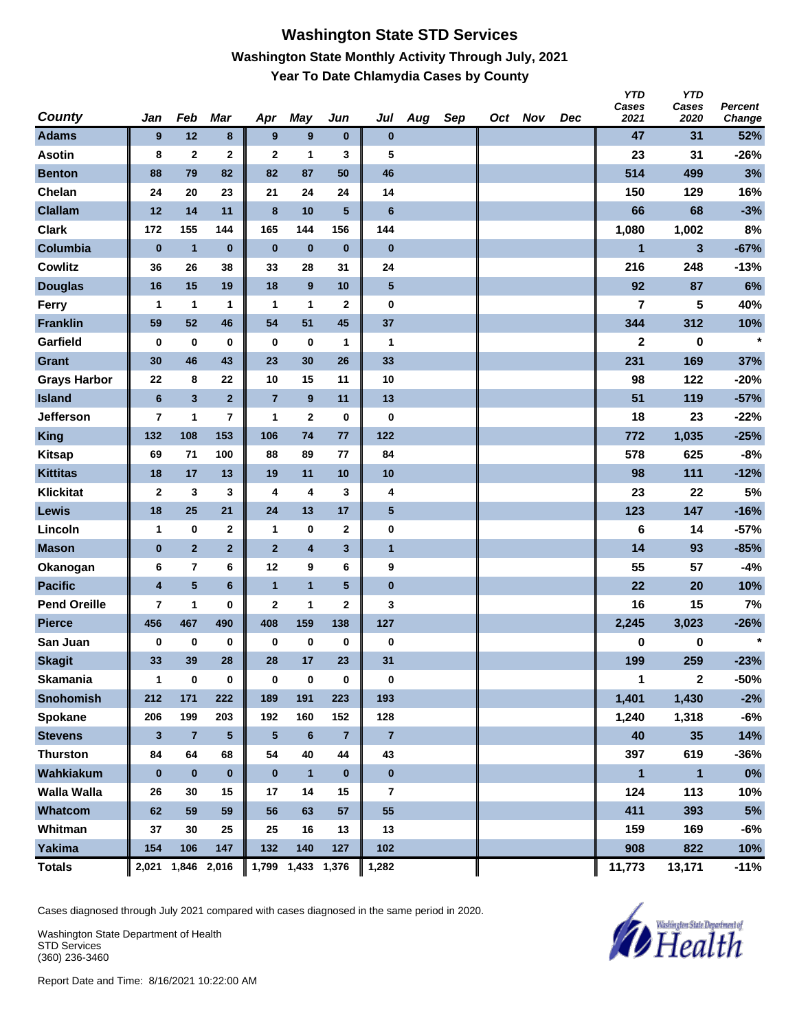### **Washington State STD Services Washington State Monthly Activity Through July, 2021 Year To Date Chlamydia Cases by County**

| <b>County</b>       | Jan                     | Feb                     | <b>Mar</b>      | Apr            | <b>May</b>              | Jun             | Jul            | Aug | Sep | Oct Nov | <b>Dec</b> | <b>YTD</b><br>Cases<br>2021 | <b>YTD</b><br>Cases<br>2020 | <b>Percent</b><br>Change |
|---------------------|-------------------------|-------------------------|-----------------|----------------|-------------------------|-----------------|----------------|-----|-----|---------|------------|-----------------------------|-----------------------------|--------------------------|
| <b>Adams</b>        | 9                       | 12                      | 8               | 9              | 9                       | $\bf{0}$        | $\bf{0}$       |     |     |         |            | 47                          | 31                          | 52%                      |
| <b>Asotin</b>       | 8                       | $\mathbf{2}$            | $\mathbf 2$     | $\mathbf{2}$   | 1                       | 3               | 5              |     |     |         |            | 23                          | 31                          | $-26%$                   |
| <b>Benton</b>       | 88                      | 79                      | 82              | 82             | 87                      | 50              | 46             |     |     |         |            | 514                         | 499                         | 3%                       |
| Chelan              | 24                      | 20                      | 23              | 21             | 24                      | 24              | 14             |     |     |         |            | 150                         | 129                         | 16%                      |
| <b>Clallam</b>      | 12                      | 14                      | 11              | $\bf{8}$       | 10                      | $5\phantom{.0}$ | $6\phantom{1}$ |     |     |         |            | 66                          | 68                          | $-3%$                    |
| <b>Clark</b>        | 172                     | 155                     | 144             | 165            | 144                     | 156             | 144            |     |     |         |            | 1,080                       | 1,002                       | 8%                       |
| Columbia            | $\bf{0}$                | $\mathbf{1}$            | $\bf{0}$        | $\bf{0}$       | $\bf{0}$                | $\bf{0}$        | $\bf{0}$       |     |     |         |            | $\mathbf{1}$                | $\mathbf{3}$                | $-67%$                   |
| <b>Cowlitz</b>      | 36                      | 26                      | 38              | 33             | 28                      | 31              | 24             |     |     |         |            | 216                         | 248                         | $-13%$                   |
| <b>Douglas</b>      | 16                      | 15                      | 19              | 18             | 9                       | 10              | 5              |     |     |         |            | 92                          | 87                          | 6%                       |
| Ferry               | 1                       | $\mathbf{1}$            | 1               | $\mathbf{1}$   | $\mathbf{1}$            | $\mathbf{2}$    | $\bf{0}$       |     |     |         |            | 7                           | 5                           | 40%                      |
| <b>Franklin</b>     | 59                      | 52                      | 46              | 54             | 51                      | 45              | 37             |     |     |         |            | 344                         | 312                         | 10%                      |
| Garfield            | $\bf{0}$                | $\bf{0}$                | 0               | $\bf{0}$       | $\bf{0}$                | 1               | 1              |     |     |         |            | $\mathbf{2}$                | 0                           | $\star$                  |
| <b>Grant</b>        | 30                      | 46                      | 43              | 23             | 30                      | 26              | 33             |     |     |         |            | 231                         | 169                         | 37%                      |
| <b>Grays Harbor</b> | 22                      | 8                       | 22              | 10             | 15                      | 11              | 10             |     |     |         |            | 98                          | 122                         | $-20%$                   |
| <b>Island</b>       | $\bf 6$                 | $\mathbf{3}$            | $\overline{2}$  | $\overline{7}$ | 9                       | 11              | 13             |     |     |         |            | 51                          | 119                         | $-57%$                   |
| Jefferson           | $\overline{\mathbf{r}}$ | 1                       | 7               | 1              | $\mathbf{2}$            | 0               | 0              |     |     |         |            | 18                          | 23                          | $-22%$                   |
| <b>King</b>         | 132                     | 108                     | 153             | 106            | 74                      | 77              | 122            |     |     |         |            | 772                         | 1,035                       | $-25%$                   |
| <b>Kitsap</b>       | 69                      | 71                      | 100             | 88             | 89                      | 77              | 84             |     |     |         |            | 578                         | 625                         | $-8%$                    |
| <b>Kittitas</b>     | 18                      | 17                      | 13              | 19             | 11                      | 10              | 10             |     |     |         |            | 98                          | 111                         | $-12%$                   |
| <b>Klickitat</b>    | $\mathbf 2$             | $\mathbf{3}$            | 3               | 4              | 4                       | 3               | 4              |     |     |         |            | 23                          | 22                          | $5%$                     |
| Lewis               | 18                      | 25                      | 21              | 24             | 13                      | 17              | $\sqrt{5}$     |     |     |         |            | 123                         | 147                         | $-16%$                   |
| Lincoln             | $\mathbf{1}$            | $\bf{0}$                | $\mathbf{2}$    | $\mathbf{1}$   | 0                       | $\mathbf{2}$    | 0              |     |     |         |            | 6                           | 14                          | $-57%$                   |
| <b>Mason</b>        | $\bf{0}$                | $\overline{2}$          | $\overline{2}$  | $\overline{2}$ | $\overline{\mathbf{4}}$ | 3               | $\mathbf{1}$   |     |     |         |            | 14                          | 93                          | $-85%$                   |
| Okanogan            | 6                       | $\overline{\mathbf{r}}$ | 6               | 12             | 9                       | 6               | 9              |     |     |         |            | 55                          | 57                          | $-4%$                    |
| <b>Pacific</b>      | $\overline{\mathbf{4}}$ | $5\phantom{.0}$         | $6\phantom{a}$  | $\overline{1}$ | $\mathbf{1}$            | $5\phantom{.0}$ | $\pmb{0}$      |     |     |         |            | 22                          | 20                          | 10%                      |
| <b>Pend Oreille</b> | $\overline{7}$          | 1                       | 0               | $\mathbf{2}$   | 1                       | 2               | 3              |     |     |         |            | 16                          | 15                          | 7%                       |
| <b>Pierce</b>       | 456                     | 467                     | 490             | 408            | 159                     | 138             | 127            |     |     |         |            | 2,245                       | 3,023                       | $-26%$                   |
| San Juan            | 0                       | $\pmb{0}$               | $\bf{0}$        | 0              | $\pmb{0}$               | $\bf{0}$        | 0              |     |     |         |            | 0                           | 0                           | $\star$                  |
| <b>Skagit</b>       | 33                      | 39                      | 28              | 28             | 17                      | 23              | 31             |     |     |         |            | 199                         | 259                         | $-23%$                   |
| <b>Skamania</b>     | $\mathbf{1}$            | $\bf{0}$                | $\pmb{0}$       | $\bf{0}$       | $\pmb{0}$               | 0               | $\bf{0}$       |     |     |         |            | 1                           | $\mathbf{2}$                | -50%                     |
| <b>Snohomish</b>    | 212                     | 171                     | 222             | 189            | 191                     | 223             | 193            |     |     |         |            | 1,401                       | 1,430                       | $-2%$                    |
| Spokane             | 206                     | 199                     | 203             | 192            | 160                     | 152             | 128            |     |     |         |            | 1,240                       | 1,318                       | $-6%$                    |
| <b>Stevens</b>      | $\mathbf{3}$            | $\overline{7}$          | $5\phantom{.0}$ | 5              | $\bf 6$                 | $\overline{7}$  | $\overline{7}$ |     |     |         |            | 40                          | 35                          | 14%                      |
| <b>Thurston</b>     | 84                      | 64                      | 68              | 54             | 40                      | 44              | 43             |     |     |         |            | 397                         | 619                         | $-36%$                   |
| Wahkiakum           | $\pmb{0}$               | $\pmb{0}$               | $\bf{0}$        | $\bf{0}$       | $\mathbf{1}$            | $\mathbf 0$     | $\bf{0}$       |     |     |         |            | $\mathbf{1}$                | $\mathbf{1}$                | $0\%$                    |
| <b>Walla Walla</b>  | 26                      | 30                      | 15              | 17             | 14                      | 15              | 7              |     |     |         |            | 124                         | 113                         | 10%                      |
| Whatcom             | 62                      | 59                      | 59              | 56             | 63                      | 57              | 55             |     |     |         |            | 411                         | 393                         | 5%                       |
| Whitman             | 37                      | 30                      | 25              | 25             | 16                      | 13              | 13             |     |     |         |            | 159                         | 169                         | $-6%$                    |
| <b>Yakima</b>       | 154                     | 106                     | 147             | 132            | 140                     | 127             | 102            |     |     |         |            | 908                         | 822                         | 10%                      |
| <b>Totals</b>       |                         | 2,021 1,846 2,016       |                 |                | 1,799 1,433 1,376       |                 | 1,282          |     |     |         |            | 11,773                      | 13,171                      | $-11%$                   |

Cases diagnosed through July 2021 compared with cases diagnosed in the same period in 2020.

Washington State Department of Health STD Services (360) 236-3460

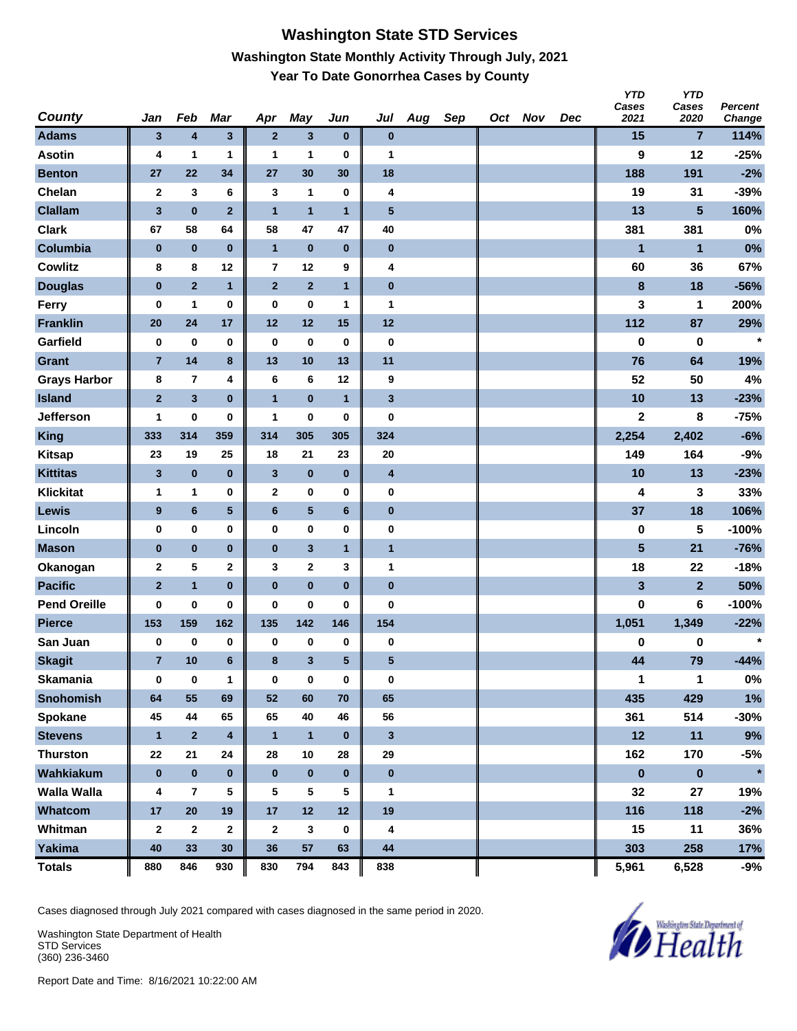## **Washington State STD Services Washington State Monthly Activity Through July, 2021 Year To Date Gonorrhea Cases by County**

| <b>County</b>       | Jan                     | Feb                     | Mar                     | Apr            | May            | Jun             | Jul                     | Aug | Sep | Oct Nov | Dec | <b>YTD</b><br>Cases<br>2021 | <b>YTD</b><br>Cases<br>2020 | <b>Percent</b><br>Change |
|---------------------|-------------------------|-------------------------|-------------------------|----------------|----------------|-----------------|-------------------------|-----|-----|---------|-----|-----------------------------|-----------------------------|--------------------------|
| <b>Adams</b>        | $\mathbf{3}$            | 4                       | $\mathbf{3}$            | $\mathbf{2}$   | $\mathbf{3}$   | $\bf{0}$        | $\bf{0}$                |     |     |         |     | 15                          | $\overline{7}$              | 114%                     |
| <b>Asotin</b>       | 4                       | 1                       | 1                       | 1              | 1              | 0               | 1                       |     |     |         |     | 9                           | 12                          | $-25%$                   |
| <b>Benton</b>       | 27                      | 22                      | 34                      | 27             | 30             | 30              | 18                      |     |     |         |     | 188                         | 191                         | $-2%$                    |
| Chelan              | $\mathbf{2}$            | 3                       | 6                       | 3              | 1              | 0               | 4                       |     |     |         |     | 19                          | 31                          | $-39%$                   |
| <b>Clallam</b>      | $\overline{\mathbf{3}}$ | $\pmb{0}$               | $\overline{2}$          | $\overline{1}$ | $\overline{1}$ | $\mathbf{1}$    | 5                       |     |     |         |     | 13                          | 5                           | 160%                     |
| <b>Clark</b>        | 67                      | 58                      | 64                      | 58             | 47             | 47              | 40                      |     |     |         |     | 381                         | 381                         | 0%                       |
| Columbia            | $\bf{0}$                | $\pmb{0}$               | $\bf{0}$                | $\overline{1}$ | $\pmb{0}$      | $\pmb{0}$       | $\bf{0}$                |     |     |         |     | 1                           | $\mathbf{1}$                | 0%                       |
| <b>Cowlitz</b>      | 8                       | 8                       | 12                      | 7              | 12             | 9               | 4                       |     |     |         |     | 60                          | 36                          | 67%                      |
| <b>Douglas</b>      | $\pmb{0}$               | $\overline{2}$          | 1                       | $\mathbf{2}$   | $\mathbf 2$    | $\mathbf{1}$    | $\pmb{0}$               |     |     |         |     | 8                           | 18                          | $-56%$                   |
| <b>Ferry</b>        | $\bf{0}$                | 1                       | 0                       | $\bf{0}$       | $\bf{0}$       | 1               | 1                       |     |     |         |     | 3                           | 1                           | 200%                     |
| <b>Franklin</b>     | 20                      | 24                      | 17                      | 12             | 12             | 15              | 12                      |     |     |         |     | 112                         | 87                          | 29%                      |
| Garfield            | $\bf{0}$                | 0                       | 0                       | $\bf{0}$       | $\bf{0}$       | $\pmb{0}$       | $\bf{0}$                |     |     |         |     | 0                           | 0                           | $\star$                  |
| Grant               | $\overline{7}$          | 14                      | 8                       | 13             | 10             | 13              | 11                      |     |     |         |     | 76                          | 64                          | 19%                      |
| <b>Grays Harbor</b> | 8                       | $\overline{\mathbf{r}}$ | 4                       | 6              | $6\phantom{1}$ | 12              | 9                       |     |     |         |     | 52                          | 50                          | 4%                       |
| <b>Island</b>       | $\bf{2}$                | $\overline{\mathbf{3}}$ | $\bf{0}$                | $\overline{1}$ | $\bf{0}$       | $\mathbf{1}$    | $\overline{\mathbf{3}}$ |     |     |         |     | 10                          | 13                          | $-23%$                   |
| Jefferson           | 1                       | 0                       | 0                       | 1              | $\bf{0}$       | 0               | $\bf{0}$                |     |     |         |     | $\mathbf 2$                 | 8                           | $-75%$                   |
| <b>King</b>         | 333                     | 314                     | 359                     | 314            | 305            | 305             | 324                     |     |     |         |     | 2,254                       | 2,402                       | $-6%$                    |
| <b>Kitsap</b>       | 23                      | 19                      | 25                      | 18             | 21             | 23              | 20                      |     |     |         |     | 149                         | 164                         | $-9%$                    |
| <b>Kittitas</b>     | $\mathbf{3}$            | $\pmb{0}$               | $\bf{0}$                | $\mathbf{3}$   | $\pmb{0}$      | $\pmb{0}$       | $\overline{\mathbf{4}}$ |     |     |         |     | 10                          | 13                          | $-23%$                   |
| <b>Klickitat</b>    | 1                       | 1                       | 0                       | 2              | $\bf{0}$       | 0               | 0                       |     |     |         |     | 4                           | 3                           | 33%                      |
| <b>Lewis</b>        | 9                       | $\bf 6$                 | 5                       | 6              | $\sqrt{5}$     | $6\phantom{1}$  | $\pmb{0}$               |     |     |         |     | 37                          | 18                          | 106%                     |
| Lincoln             | $\bf{0}$                | 0                       | 0                       | $\bf{0}$       | $\bf{0}$       | 0               | 0                       |     |     |         |     | 0                           | 5                           | $-100%$                  |
| <b>Mason</b>        | $\bf{0}$                | $\pmb{0}$               | $\bf{0}$                | $\pmb{0}$      | $\mathbf 3$    | $\mathbf{1}$    | $\mathbf{1}$            |     |     |         |     | 5                           | 21                          | $-76%$                   |
| Okanogan            | $\mathbf{2}$            | 5                       | 2                       | 3              | $\mathbf{2}$   | 3               | 1                       |     |     |         |     | 18                          | 22                          | $-18%$                   |
| <b>Pacific</b>      | $\overline{2}$          | $\mathbf{1}$            | $\bf{0}$                | $\bf{0}$       | $\bf{0}$       | $\bf{0}$        | $\bf{0}$                |     |     |         |     | 3                           | $\overline{2}$              | 50%                      |
| <b>Pend Oreille</b> | 0                       | 0                       | 0                       | $\bf{0}$       | $\bf{0}$       | 0               | $\bf{0}$                |     |     |         |     | 0                           | 6                           | $-100%$                  |
| <b>Pierce</b>       | 153                     | 159                     | 162                     | 135            | 142            | 146             | 154                     |     |     |         |     | 1,051                       | 1,349                       | $-22%$                   |
| San Juan            | $\bf{0}$                | 0                       | 0                       | 0              | 0              | 0               | 0                       |     |     |         |     | 0                           | 0                           | $\star$                  |
| <b>Skagit</b>       | $\overline{7}$          | 10                      | 6                       | 8              | $\mathbf{3}$   | $5\phantom{.0}$ | 5                       |     |     |         |     | 44                          | 79                          | $-44%$                   |
| <b>Skamania</b>     | $\bf{0}$                | $\pmb{0}$               | 1                       | $\bf{0}$       | $\pmb{0}$      | $\pmb{0}$       | $\mathbf 0$             |     |     |         |     | 1                           | 1                           | $0\%$                    |
| <b>Snohomish</b>    | 64                      | 55                      | 69                      | 52             | 60             | 70              | 65                      |     |     |         |     | 435                         | 429                         | 1%                       |
| Spokane             | 45                      | 44                      | 65                      | 65             | 40             | 46              | 56                      |     |     |         |     | 361                         | 514                         | $-30%$                   |
| <b>Stevens</b>      | $\mathbf{1}$            | $\mathbf 2$             | $\overline{\mathbf{4}}$ | $\mathbf{1}$   | $\mathbf{1}$   | $\bf{0}$        | $\mathbf{3}$            |     |     |         |     | 12                          | 11                          | 9%                       |
| <b>Thurston</b>     | 22                      | 21                      | 24                      | 28             | 10             | 28              | 29                      |     |     |         |     | 162                         | 170                         | $-5%$                    |
| Wahkiakum           | $\bf{0}$                | $\pmb{0}$               | $\pmb{0}$               | $\bf{0}$       | $\pmb{0}$      | $\bf{0}$        | $\pmb{0}$               |     |     |         |     | $\pmb{0}$                   | $\pmb{0}$                   | $\star$                  |
| <b>Walla Walla</b>  | 4                       | $\overline{\mathbf{r}}$ | 5                       | 5              | 5              | 5               | 1                       |     |     |         |     | 32                          | 27                          | 19%                      |
| Whatcom             | 17                      | 20                      | 19                      | 17             | 12             | 12              | 19                      |     |     |         |     | 116                         | 118                         | $-2%$                    |
| Whitman             | $\mathbf{2}$            | $\mathbf{2}$            | $\mathbf{2}$            | $\mathbf{2}$   | 3              | 0               | 4                       |     |     |         |     | 15                          | 11                          | 36%                      |
| <b>Yakima</b>       | 40                      | 33                      | 30                      | 36             | 57             | 63              | 44                      |     |     |         |     | 303                         | 258                         | 17%                      |
| <b>Totals</b>       | 880                     | 846                     | 930                     | 830            | 794            | 843             | 838                     |     |     |         |     | 5,961                       | 6,528                       | $-9%$                    |

Cases diagnosed through July 2021 compared with cases diagnosed in the same period in 2020.

Washington State Department of Health STD Services (360) 236-3460

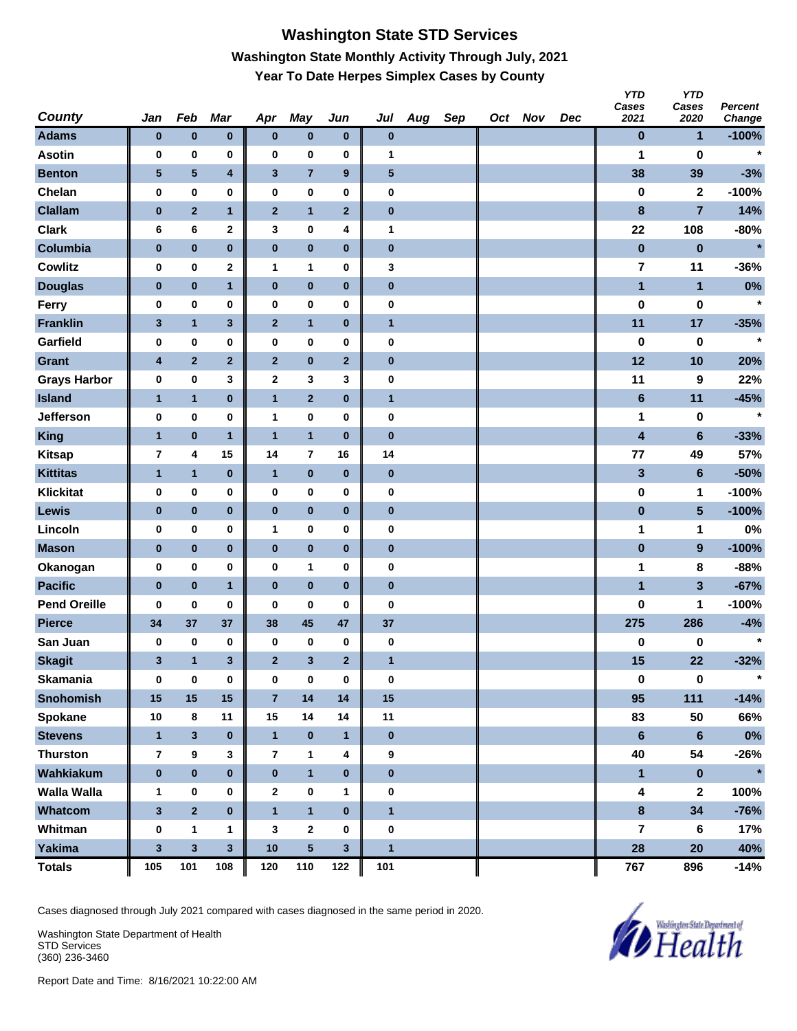# **Washington State STD Services Washington State Monthly Activity Through July, 2021 Year To Date Herpes Simplex Cases by County**

| <b>County</b>       | Jan            | Feb            | Mar                     | Apr            | May                     | Jun              | Jul          | Aug | Sep | Oct Nov | Dec | <b>YTD</b><br>Cases<br>2021 | <b>YTD</b><br>Cases<br>2020 | <b>Percent</b><br>Change |
|---------------------|----------------|----------------|-------------------------|----------------|-------------------------|------------------|--------------|-----|-----|---------|-----|-----------------------------|-----------------------------|--------------------------|
| <b>Adams</b>        | $\bf{0}$       | $\pmb{0}$      | $\pmb{0}$               | $\bf{0}$       | $\pmb{0}$               | $\bf{0}$         | $\pmb{0}$    |     |     |         |     | $\bf{0}$                    | $\mathbf{1}$                | $-100%$                  |
| <b>Asotin</b>       | $\bf{0}$       | 0              | 0                       | 0              | $\bf{0}$                | 0                | 1            |     |     |         |     | 1                           | $\bf{0}$                    | $\star$                  |
| <b>Benton</b>       | 5              | ${\bf 5}$      | 4                       | 3              | $\overline{7}$          | $\boldsymbol{9}$ | $\sqrt{5}$   |     |     |         |     | 38                          | 39                          | $-3%$                    |
| Chelan              | 0              | 0              | 0                       | 0              | $\pmb{0}$               | 0                | $\pmb{0}$    |     |     |         |     | $\bf{0}$                    | $\mathbf 2$                 | $-100%$                  |
| <b>Clallam</b>      | $\pmb{0}$      | $\mathbf 2$    | 1                       | $\mathbf{2}$   | $\overline{1}$          | $\mathbf{2}$     | $\pmb{0}$    |     |     |         |     | 8                           | $\overline{7}$              | 14%                      |
| <b>Clark</b>        | 6              | 6              | 2                       | 3              | 0                       | 4                | 1            |     |     |         |     | 22                          | 108                         | $-80%$                   |
| Columbia            | $\pmb{0}$      | $\pmb{0}$      | $\bf{0}$                | $\pmb{0}$      | $\pmb{0}$               | $\pmb{0}$        | $\pmb{0}$    |     |     |         |     | $\bf{0}$                    | $\bf{0}$                    | $\star$                  |
| <b>Cowlitz</b>      | 0              | $\pmb{0}$      | $\mathbf 2$             | $\mathbf{1}$   | $\mathbf{1}$            | 0                | 3            |     |     |         |     | 7                           | 11                          | $-36%$                   |
| <b>Douglas</b>      | $\bf{0}$       | $\pmb{0}$      | 1                       | $\mathbf 0$    | $\pmb{0}$               | $\pmb{0}$        | $\pmb{0}$    |     |     |         |     | 1                           | $\mathbf{1}$                | 0%                       |
| Ferry               | 0              | 0              | 0                       | 0              | $\bf{0}$                | 0                | $\pmb{0}$    |     |     |         |     | $\bf{0}$                    | 0                           | $\star$                  |
| <b>Franklin</b>     | $\mathbf{3}$   | $\mathbf{1}$   | 3                       | $\mathbf{2}$   | $\mathbf{1}$            | $\pmb{0}$        | $\mathbf{1}$ |     |     |         |     | 11                          | 17                          | $-35%$                   |
| Garfield            | 0              | 0              | 0                       | 0              | $\pmb{0}$               | 0                | $\pmb{0}$    |     |     |         |     | 0                           | 0                           | $\star$                  |
| Grant               | 4              | $\overline{2}$ | $\overline{2}$          | $\mathbf{2}$   | $\pmb{0}$               | $\mathbf{2}$     | $\pmb{0}$    |     |     |         |     | 12                          | 10                          | 20%                      |
| <b>Grays Harbor</b> | 0              | 0              | 3                       | 2              | $\mathbf 3$             | 3                | $\pmb{0}$    |     |     |         |     | 11                          | 9                           | 22%                      |
| <b>Island</b>       | $\mathbf{1}$   | $\mathbf{1}$   | $\bf{0}$                | $\mathbf{1}$   | $\mathbf 2$             | $\pmb{0}$        | $\mathbf{1}$ |     |     |         |     | $6\phantom{a}$              | 11                          | $-45%$                   |
| Jefferson           | 0              | 0              | 0                       | 1              | 0                       | 0                | 0            |     |     |         |     | 1                           | 0                           | $\star$                  |
| <b>King</b>         | $\overline{1}$ | $\pmb{0}$      | $\mathbf{1}$            | $\overline{1}$ | $\mathbf{1}$            | $\pmb{0}$        | $\bf{0}$     |     |     |         |     | $\overline{\mathbf{4}}$     | $6\phantom{1}$              | $-33%$                   |
| <b>Kitsap</b>       | 7              | 4              | 15                      | 14             | $\overline{7}$          | 16               | 14           |     |     |         |     | 77                          | 49                          | 57%                      |
| <b>Kittitas</b>     | $\mathbf{1}$   | $\mathbf{1}$   | $\bf{0}$                | $\mathbf{1}$   | $\bf{0}$                | $\pmb{0}$        | $\pmb{0}$    |     |     |         |     | 3                           | $6\phantom{1}$              | $-50%$                   |
| <b>Klickitat</b>    | 0              | 0              | 0                       | 0              | $\bf{0}$                | 0                | 0            |     |     |         |     | 0                           | 1                           | $-100%$                  |
| <b>Lewis</b>        | $\pmb{0}$      | $\pmb{0}$      | $\bf{0}$                | $\pmb{0}$      | $\pmb{0}$               | $\pmb{0}$        | $\pmb{0}$    |     |     |         |     | $\bf{0}$                    | $\overline{\mathbf{5}}$     | $-100%$                  |
| Lincoln             | 0              | 0              | 0                       | 1              | $\pmb{0}$               | 0                | 0            |     |     |         |     | 1                           | 1                           | 0%                       |
| <b>Mason</b>        | $\pmb{0}$      | $\pmb{0}$      | $\bf{0}$                | $\pmb{0}$      | $\pmb{0}$               | $\pmb{0}$        | $\pmb{0}$    |     |     |         |     | $\pmb{0}$                   | $\boldsymbol{9}$            | $-100%$                  |
| Okanogan            | 0              | 0              | 0                       | 0              | 1                       | 0                | 0            |     |     |         |     | 1                           | 8                           | $-88%$                   |
| <b>Pacific</b>      | $\pmb{0}$      | $\pmb{0}$      | $\mathbf{1}$            | $\pmb{0}$      | $\bf{0}$                | $\bf{0}$         | $\pmb{0}$    |     |     |         |     | $\mathbf{1}$                | $\overline{\mathbf{3}}$     | $-67%$                   |
| <b>Pend Oreille</b> | 0              | 0              | 0                       | 0              | 0                       | 0                | 0            |     |     |         |     | 0                           | 1                           | $-100%$                  |
| <b>Pierce</b>       | 34             | 37             | 37                      | 38             | 45                      | 47               | 37           |     |     |         |     | 275                         | 286                         | $-4%$                    |
| San Juan            | 0              | 0              | 0                       | 0              | 0                       | 0                | $\bf{0}$     |     |     |         |     | 0                           | 0                           | $\star$                  |
| <b>Skagit</b>       | 3              | $\mathbf{1}$   | 3                       | $\overline{2}$ | $\mathbf{3}$            | $\overline{2}$   | $\mathbf{1}$ |     |     |         |     | 15                          | 22                          | $-32%$                   |
| <b>Skamania</b>     | $\bf{0}$       | $\pmb{0}$      | $\pmb{0}$               | $\bf{0}$       | $\pmb{0}$               | $\pmb{0}$        | 0            |     |     |         |     | $\pmb{0}$                   | $\pmb{0}$                   | $\star$                  |
| <b>Snohomish</b>    | 15             | 15             | 15                      | $\overline{7}$ | 14                      | 14               | 15           |     |     |         |     | 95                          | 111                         | $-14%$                   |
| Spokane             | 10             | 8              | 11                      | 15             | 14                      | 14               | 11           |     |     |         |     | 83                          | 50                          | 66%                      |
| <b>Stevens</b>      | $\mathbf{1}$   | $\mathbf{3}$   | $\pmb{0}$               | $\mathbf{1}$   | $\pmb{0}$               | $\mathbf{1}$     | $\bf{0}$     |     |     |         |     | $6\phantom{a}$              | $\bf 6$                     | $0\%$                    |
| <b>Thurston</b>     | $\bf 7$        | 9              | 3                       | $\overline{7}$ | $\mathbf{1}$            | 4                | 9            |     |     |         |     | 40                          | 54                          | $-26%$                   |
| Wahkiakum           | $\pmb{0}$      | $\pmb{0}$      | $\mathbf{0}$            | $\pmb{0}$      | $\overline{\mathbf{1}}$ | $\pmb{0}$        | $\bf{0}$     |     |     |         |     | $\mathbf{1}$                | $\pmb{0}$                   | $\star$                  |
| <b>Walla Walla</b>  | $\mathbf 1$    | 0              | 0                       | $\mathbf{2}$   | $\pmb{0}$               | 1                | 0            |     |     |         |     | $\boldsymbol{4}$            | $\boldsymbol{2}$            | 100%                     |
| Whatcom             | $\mathbf 3$    | $\mathbf{2}$   | $\pmb{0}$               | $\mathbf{1}$   | $\mathbf{1}$            | $\pmb{0}$        | $\mathbf{1}$ |     |     |         |     | $\bf{8}$                    | 34                          | $-76%$                   |
| Whitman             | $\pmb{0}$      | 1              | 1                       | 3              | $\mathbf{2}$            | 0                | $\bf{0}$     |     |     |         |     | 7                           | 6                           | 17%                      |
| Yakima              | $\mathbf 3$    | $\mathbf{3}$   | $\overline{\mathbf{3}}$ | 10             | $5\phantom{.0}$         | $\mathbf{3}$     | $\mathbf{1}$ |     |     |         |     | 28                          | 20                          | 40%                      |
| <b>Totals</b>       | 105            | 101            | 108                     | 120            | 110                     | 122              | 101          |     |     |         |     | 767                         | 896                         | $-14%$                   |

Cases diagnosed through July 2021 compared with cases diagnosed in the same period in 2020.

Washington State Department of Health STD Services (360) 236-3460

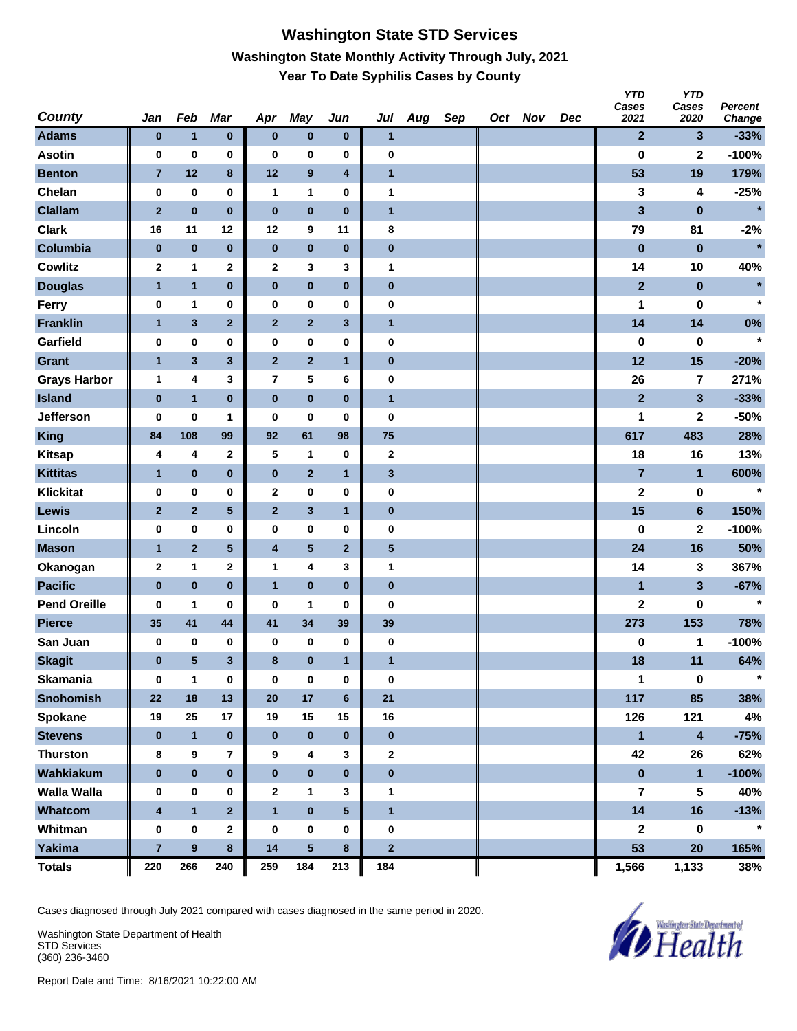#### **Washington State STD Services Washington State Monthly Activity Through July, 2021 Year To Date Syphilis Cases by County**

| <b>County</b>       | Jan                     | Feb              | Mar                     | Apr                     | <b>May</b>              | Jun                     | Jul                     | Aug | Sep | Oct Nov | Dec | <b>YTD</b><br>Cases<br>2021 | <b>YTD</b><br>Cases<br>2020 | <b>Percent</b><br>Change |
|---------------------|-------------------------|------------------|-------------------------|-------------------------|-------------------------|-------------------------|-------------------------|-----|-----|---------|-----|-----------------------------|-----------------------------|--------------------------|
| <b>Adams</b>        | $\bf{0}$                | $\mathbf{1}$     | $\pmb{0}$               | $\bf{0}$                | $\pmb{0}$               | $\bf{0}$                | $\mathbf{1}$            |     |     |         |     | $\mathbf{2}$                | $\mathbf{3}$                | $-33%$                   |
| <b>Asotin</b>       | 0                       | $\pmb{0}$        | 0                       | $\bf{0}$                | $\bf{0}$                | 0                       | 0                       |     |     |         |     | $\bf{0}$                    | $\mathbf 2$                 | $-100%$                  |
| <b>Benton</b>       | $\overline{7}$          | 12               | $\bf8$                  | 12                      | $\boldsymbol{9}$        | 4                       | $\mathbf{1}$            |     |     |         |     | 53                          | 19                          | 179%                     |
| Chelan              | 0                       | $\pmb{0}$        | $\pmb{0}$               | $\mathbf{1}$            | $\mathbf{1}$            | 0                       | 1                       |     |     |         |     | 3                           | 4                           | $-25%$                   |
| <b>Clallam</b>      | $\mathbf 2$             | $\pmb{0}$        | $\bf{0}$                | $\pmb{0}$               | $\pmb{0}$               | $\pmb{0}$               | $\mathbf{1}$            |     |     |         |     | 3                           | $\bf{0}$                    | $\star$                  |
| <b>Clark</b>        | 16                      | 11               | 12                      | 12                      | 9                       | 11                      | 8                       |     |     |         |     | 79                          | 81                          | $-2%$                    |
| Columbia            | $\pmb{0}$               | $\pmb{0}$        | $\pmb{0}$               | $\pmb{0}$               | $\pmb{0}$               | $\pmb{0}$               | $\pmb{0}$               |     |     |         |     | $\bf{0}$                    | $\bf{0}$                    | $\star$                  |
| <b>Cowlitz</b>      | 2                       | 1                | $\mathbf 2$             | 2                       | 3                       | 3                       | 1                       |     |     |         |     | 14                          | 10                          | 40%                      |
| <b>Douglas</b>      | 1                       | $\mathbf{1}$     | $\pmb{0}$               | 0                       | $\pmb{0}$               | $\pmb{0}$               | $\pmb{0}$               |     |     |         |     | $\mathbf{2}$                | $\pmb{0}$                   | $\star$                  |
| Ferry               | 0                       | 1                | 0                       | 0                       | $\bf{0}$                | 0                       | $\pmb{0}$               |     |     |         |     | 1                           | 0                           | $\star$                  |
| <b>Franklin</b>     | $\mathbf{1}$            | 3                | $\mathbf 2$             | $\mathbf{2}$            | $\mathbf 2$             | $\mathbf{3}$            | $\mathbf{1}$            |     |     |         |     | 14                          | 14                          | 0%                       |
| Garfield            | 0                       | $\pmb{0}$        | $\bf{0}$                | 0                       | $\pmb{0}$               | 0                       | 0                       |     |     |         |     | $\bf{0}$                    | $\bf{0}$                    | $\star$                  |
| <b>Grant</b>        | $\mathbf{1}$            | 3                | $\mathbf{3}$            | $\mathbf{2}$            | $\mathbf{2}$            | $\mathbf{1}$            | $\pmb{0}$               |     |     |         |     | 12                          | 15                          | $-20%$                   |
| <b>Grays Harbor</b> | $\mathbf{1}$            | 4                | 3                       | $\overline{\mathbf{r}}$ | 5                       | 6                       | $\pmb{0}$               |     |     |         |     | 26                          | $\overline{\mathbf{r}}$     | 271%                     |
| <b>Island</b>       | $\pmb{0}$               | $\mathbf{1}$     | $\bf{0}$                | $\pmb{0}$               | $\mathbf 0$             | $\pmb{0}$               | $\mathbf{1}$            |     |     |         |     | $\overline{2}$              | $\mathbf{3}$                | $-33%$                   |
| Jefferson           | 0                       | 0                | 1                       | 0                       | 0                       | 0                       | 0                       |     |     |         |     | 1                           | 2                           | $-50%$                   |
| <b>King</b>         | 84                      | 108              | 99                      | 92                      | 61                      | 98                      | 75                      |     |     |         |     | 617                         | 483                         | 28%                      |
| <b>Kitsap</b>       | 4                       | 4                | $\mathbf 2$             | 5                       | $\mathbf{1}$            | $\pmb{0}$               | $\mathbf 2$             |     |     |         |     | 18                          | 16                          | 13%                      |
| <b>Kittitas</b>     | 1                       | $\pmb{0}$        | $\pmb{0}$               | $\pmb{0}$               | $\mathbf 2$             | $\mathbf{1}$            | $\mathbf{3}$            |     |     |         |     | $\overline{7}$              | $\mathbf{1}$                | 600%                     |
| <b>Klickitat</b>    | 0                       | $\pmb{0}$        | 0                       | $\mathbf{2}$            | $\bf{0}$                | 0                       | $\pmb{0}$               |     |     |         |     | $\mathbf 2$                 | 0                           | $\star$                  |
| Lewis               | $\mathbf{2}$            | $\mathbf 2$      | $\overline{\mathbf{5}}$ | $\mathbf{2}$            | $\mathbf{3}$            | $\mathbf{1}$            | $\pmb{0}$               |     |     |         |     | 15                          | $6\phantom{a}$              | 150%                     |
| Lincoln             | 0                       | $\pmb{0}$        | $\bf{0}$                | 0                       | $\pmb{0}$               | 0                       | 0                       |     |     |         |     | $\bf{0}$                    | $\mathbf 2$                 | $-100%$                  |
| <b>Mason</b>        | $\mathbf{1}$            | $\overline{2}$   | $\sqrt{5}$              | 4                       | $\overline{\mathbf{5}}$ | $\mathbf{2}$            | $\overline{\mathbf{5}}$ |     |     |         |     | 24                          | 16                          | 50%                      |
| Okanogan            | $\mathbf 2$             | 1                | $\mathbf 2$             | 1                       | 4                       | 3                       | 1                       |     |     |         |     | 14                          | 3                           | 367%                     |
| <b>Pacific</b>      | $\pmb{0}$               | $\pmb{0}$        | $\bf{0}$                | $\mathbf{1}$            | $\bf{0}$                | $\bf{0}$                | $\pmb{0}$               |     |     |         |     | $\mathbf{1}$                | $\mathbf{3}$                | $-67%$                   |
| <b>Pend Oreille</b> | 0                       | 1                | 0                       | 0                       | 1                       | 0                       | 0                       |     |     |         |     | $\mathbf 2$                 | 0                           | $\star$                  |
| <b>Pierce</b>       | 35                      | 41               | 44                      | 41                      | 34                      | 39                      | 39                      |     |     |         |     | 273                         | 153                         | 78%                      |
| San Juan            | 0                       | 0                | 0                       | 0                       | 0                       | $\pmb{0}$               | $\bf{0}$                |     |     |         |     | 0                           | 1                           | $-100%$                  |
| <b>Skagit</b>       | $\bf{0}$                | 5                | 3                       | 8                       | $\pmb{0}$               | 1                       | $\mathbf{1}$            |     |     |         |     | 18                          | 11                          | 64%                      |
| <b>Skamania</b>     | 0                       | $\mathbf{1}$     | $\pmb{0}$               | $\bf{0}$                | $\pmb{0}$               | 0                       | 0                       |     |     |         |     | 1                           | $\pmb{0}$                   | $\star$                  |
| <b>Snohomish</b>    | ${\bf 22}$              | 18               | 13                      | 20                      | 17                      | $6\phantom{1}$          | 21                      |     |     |         |     | 117                         | 85                          | 38%                      |
| Spokane             | 19                      | 25               | 17                      | 19                      | 15                      | 15                      | 16                      |     |     |         |     | 126                         | 121                         | 4%                       |
| <b>Stevens</b>      | $\bf{0}$                | $\mathbf{1}$     | $\pmb{0}$               | $\bf{0}$                | $\pmb{0}$               | $\bf{0}$                | $\pmb{0}$               |     |     |         |     | $\mathbf{1}$                | $\overline{\mathbf{4}}$     | $-75%$                   |
| <b>Thurston</b>     | 8                       | $\pmb{9}$        | $\overline{7}$          | 9                       | 4                       | 3                       | $\mathbf{2}$            |     |     |         |     | 42                          | 26                          | 62%                      |
| Wahkiakum           | $\pmb{0}$               | $\pmb{0}$        | $\pmb{0}$               | $\pmb{0}$               | $\pmb{0}$               | $\bf{0}$                | $\pmb{0}$               |     |     |         |     | $\pmb{0}$                   | $\mathbf{1}$                | $-100%$                  |
| <b>Walla Walla</b>  | 0                       | 0                | 0                       | $\mathbf{2}$            | $\mathbf{1}$            | 3                       | 1                       |     |     |         |     | 7                           | 5                           | 40%                      |
| Whatcom             | $\overline{\mathbf{4}}$ | $\mathbf{1}$     | $\overline{\mathbf{2}}$ | $\mathbf{1}$            | $\pmb{0}$               | $\overline{\mathbf{5}}$ | $\mathbf{1}$            |     |     |         |     | 14                          | 16                          | $-13%$                   |
| Whitman             | 0                       | $\pmb{0}$        | $\mathbf{2}$            | $\bf{0}$                | $\pmb{0}$               | 0                       | $\bf{0}$                |     |     |         |     | $\mathbf 2$                 | $\pmb{0}$                   | $\star$                  |
| <b>Yakima</b>       | $\overline{7}$          | $\boldsymbol{9}$ | $\bf{8}$                | 14                      | $5\phantom{.0}$         | 8                       | $\mathbf{2}$            |     |     |         |     | 53                          | 20                          | 165%                     |
| <b>Totals</b>       | 220                     | 266              | 240                     | 259                     | 184                     | 213                     | 184                     |     |     |         |     | 1,566                       | 1,133                       | 38%                      |

Cases diagnosed through July 2021 compared with cases diagnosed in the same period in 2020.

Washington State Department of Health STD Services (360) 236-3460

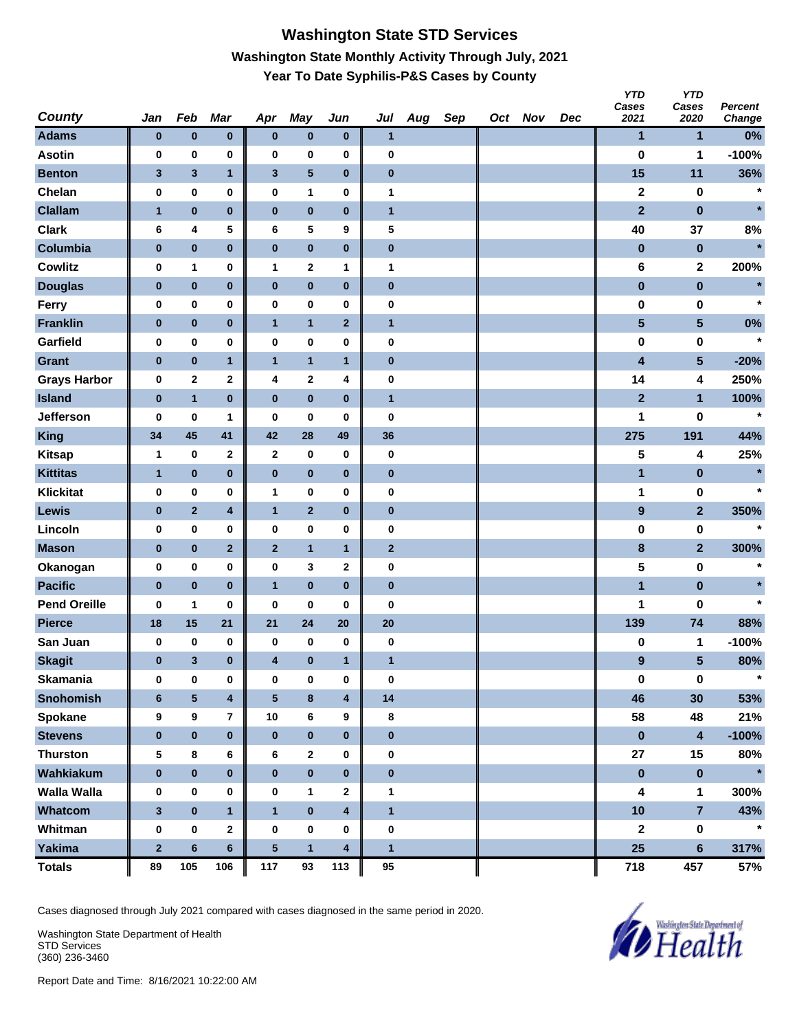# **Washington State STD Services Washington State Monthly Activity Through July, 2021 Year To Date Syphilis-P&S Cases by County**

| <b>County</b>       | Jan            | Feb          | Mar                     | Apr              | May          | Jun          | Jul          | Aug | Sep | Oct Nov | Dec | <b>YTD</b><br>Cases<br>2021 | <b>YTD</b><br>Cases<br>2020 | <b>Percent</b><br>Change |
|---------------------|----------------|--------------|-------------------------|------------------|--------------|--------------|--------------|-----|-----|---------|-----|-----------------------------|-----------------------------|--------------------------|
| <b>Adams</b>        | $\bf{0}$       | $\pmb{0}$    | $\pmb{0}$               | $\bf{0}$         | $\pmb{0}$    | $\bf{0}$     | $\mathbf{1}$ |     |     |         |     | 1                           | 1                           | 0%                       |
| <b>Asotin</b>       | 0              | $\pmb{0}$    | 0                       | 0                | 0            | 0            | 0            |     |     |         |     | $\bf{0}$                    | 1                           | $-100%$                  |
| <b>Benton</b>       | $\mathbf{3}$   | $\mathbf{3}$ | $\mathbf{1}$            | $\mathbf{3}$     | ${\bf 5}$    | $\pmb{0}$    | $\pmb{0}$    |     |     |         |     | 15                          | 11                          | 36%                      |
| Chelan              | 0              | $\pmb{0}$    | 0                       | $\pmb{0}$        | 1            | 0            | $\mathbf{1}$ |     |     |         |     | $\overline{\mathbf{2}}$     | 0                           | $\star$                  |
| <b>Clallam</b>      | $\mathbf{1}$   | $\pmb{0}$    | $\pmb{0}$               | $\pmb{0}$        | $\pmb{0}$    | $\pmb{0}$    | $\mathbf{1}$ |     |     |         |     | $\overline{2}$              | $\pmb{0}$                   | $\star$                  |
| <b>Clark</b>        | 6              | 4            | 5                       | 6                | 5            | 9            | 5            |     |     |         |     | 40                          | 37                          | 8%                       |
| Columbia            | $\pmb{0}$      | $\pmb{0}$    | $\pmb{0}$               | $\pmb{0}$        | $\pmb{0}$    | $\pmb{0}$    | $\pmb{0}$    |     |     |         |     | $\pmb{0}$                   | $\pmb{0}$                   | $\star$                  |
| <b>Cowlitz</b>      | 0              | 1            | 0                       | $\mathbf{1}$     | $\mathbf 2$  | 1            | 1            |     |     |         |     | 6                           | 2                           | 200%                     |
| <b>Douglas</b>      | $\bf{0}$       | $\pmb{0}$    | $\pmb{0}$               | $\pmb{0}$        | $\pmb{0}$    | $\pmb{0}$    | $\pmb{0}$    |     |     |         |     | $\pmb{0}$                   | $\pmb{0}$                   | $\star$                  |
| Ferry               | 0              | 0            | 0                       | $\pmb{0}$        | 0            | 0            | $\pmb{0}$    |     |     |         |     | 0                           | 0                           | $\star$                  |
| <b>Franklin</b>     | $\bf{0}$       | $\pmb{0}$    | $\pmb{0}$               | $\mathbf{1}$     | $\mathbf{1}$ | $\mathbf{2}$ | $\mathbf{1}$ |     |     |         |     | $\overline{\mathbf{5}}$     | $\overline{\mathbf{5}}$     | 0%                       |
| Garfield            | 0              | $\pmb{0}$    | $\bf{0}$                | 0                | 0            | 0            | 0            |     |     |         |     | 0                           | 0                           | $\star$                  |
| <b>Grant</b>        | $\pmb{0}$      | $\pmb{0}$    | $\mathbf{1}$            | $\mathbf{1}$     | $\mathbf{1}$ | $\mathbf{1}$ | $\pmb{0}$    |     |     |         |     | 4                           | 5                           | $-20%$                   |
| <b>Grays Harbor</b> | 0              | $\mathbf 2$  | 2                       | 4                | $\bf{2}$     | 4            | $\pmb{0}$    |     |     |         |     | 14                          | 4                           | 250%                     |
| <b>Island</b>       | $\pmb{0}$      | $\mathbf{1}$ | $\bf{0}$                | $\pmb{0}$        | $\pmb{0}$    | $\pmb{0}$    | $\mathbf{1}$ |     |     |         |     | $\overline{2}$              | $\mathbf{1}$                | 100%                     |
| Jefferson           | 0              | 0            | 1                       | 0                | 0            | 0            | 0            |     |     |         |     | 1                           | 0                           | $\star$                  |
| <b>King</b>         | 34             | 45           | 41                      | 42               | 28           | 49           | 36           |     |     |         |     | 275                         | 191                         | 44%                      |
| <b>Kitsap</b>       | 1              | $\pmb{0}$    | $\mathbf 2$             | $\mathbf{2}$     | 0            | $\bf{0}$     | $\pmb{0}$    |     |     |         |     | 5                           | 4                           | 25%                      |
| <b>Kittitas</b>     | 1              | $\pmb{0}$    | $\pmb{0}$               | $\pmb{0}$        | $\pmb{0}$    | $\pmb{0}$    | $\bf{0}$     |     |     |         |     | 1                           | $\bf{0}$                    | $\star$                  |
| <b>Klickitat</b>    | 0              | 0            | 0                       | $\mathbf{1}$     | 0            | 0            | $\pmb{0}$    |     |     |         |     | 1                           | 0                           | $\star$                  |
| Lewis               | $\bf{0}$       | $\mathbf{2}$ | 4                       | $\mathbf{1}$     | $\mathbf{2}$ | $\pmb{0}$    | $\pmb{0}$    |     |     |         |     | $\boldsymbol{9}$            | $\mathbf{2}$                | 350%                     |
| Lincoln             | 0              | 0            | 0                       | 0                | 0            | 0            | 0            |     |     |         |     | 0                           | 0                           | $\star$                  |
| <b>Mason</b>        | $\bf{0}$       | $\pmb{0}$    | $\overline{\mathbf{2}}$ | $\mathbf{2}$     | $\mathbf{1}$ | $\mathbf{1}$ | $\mathbf{2}$ |     |     |         |     | $\bf8$                      | $\overline{2}$              | 300%                     |
| Okanogan            | 0              | $\pmb{0}$    | 0                       | $\pmb{0}$        | 3            | 2            | $\pmb{0}$    |     |     |         |     | 5                           | 0                           | $\star$                  |
| <b>Pacific</b>      | $\pmb{0}$      | $\pmb{0}$    | $\bf{0}$                | $\mathbf{1}$     | $\pmb{0}$    | $\pmb{0}$    | $\pmb{0}$    |     |     |         |     | $\blacksquare$              | $\pmb{0}$                   |                          |
| <b>Pend Oreille</b> | 0              | 1            | 0                       | 0                | 0            | 0            | 0            |     |     |         |     | 1                           | 0                           | $\star$                  |
| <b>Pierce</b>       | 18             | 15           | 21                      | 21               | 24           | 20           | 20           |     |     |         |     | 139                         | 74                          | 88%                      |
| San Juan            | 0              | 0            | 0                       | 0                | 0            | 0            | $\pmb{0}$    |     |     |         |     | 0                           | 1                           | $-100%$                  |
| <b>Skagit</b>       | $\bf{0}$       | 3            | $\bf{0}$                | 4                | $\pmb{0}$    | 1            | $\mathbf{1}$ |     |     |         |     | 9                           | 5                           | 80%                      |
| <b>Skamania</b>     | $\bf{0}$       | 0            | $\pmb{0}$               | $\bf{0}$         | 0            | $\pmb{0}$    | $\bf{0}$     |     |     |         |     | $\pmb{0}$                   | $\mathbf 0$                 | $\star$                  |
| <b>Snohomish</b>    | $6\phantom{1}$ | 5            | $\overline{\mathbf{4}}$ | $\sqrt{5}$       | $\bf8$       | 4            | 14           |     |     |         |     | 46                          | 30                          | 53%                      |
| Spokane             | 9              | 9            | $\overline{\mathbf{r}}$ | 10               | 6            | 9            | 8            |     |     |         |     | 58                          | 48                          | 21%                      |
| <b>Stevens</b>      | $\pmb{0}$      | $\pmb{0}$    | $\pmb{0}$               | $\mathbf 0$      | $\pmb{0}$    | $\pmb{0}$    | $\pmb{0}$    |     |     |         |     | $\pmb{0}$                   | $\overline{\mathbf{4}}$     | $-100%$                  |
| <b>Thurston</b>     | 5              | $\bf8$       | 6                       | 6                | $\mathbf 2$  | 0            | $\pmb{0}$    |     |     |         |     | 27                          | 15                          | 80%                      |
| Wahkiakum           | $\pmb{0}$      | $\pmb{0}$    | $\bf{0}$                | $\pmb{0}$        | $\pmb{0}$    | $\pmb{0}$    | $\pmb{0}$    |     |     |         |     | $\pmb{0}$                   | $\pmb{0}$                   | $\star$                  |
| <b>Walla Walla</b>  | 0              | 0            | 0                       | 0                | 1            | 2            | 1            |     |     |         |     | 4                           | 1                           | 300%                     |
| Whatcom             | $\mathbf{3}$   | $\pmb{0}$    | $\mathbf{1}$            | $\mathbf{1}$     | $\pmb{0}$    | 4            | $\mathbf{1}$ |     |     |         |     | 10                          | $\overline{7}$              | 43%                      |
| Whitman             | $\pmb{0}$      | $\pmb{0}$    | $\mathbf 2$             | $\boldsymbol{0}$ | 0            | $\pmb{0}$    | $\pmb{0}$    |     |     |         |     | $\mathbf 2$                 | $\pmb{0}$                   | $\star$                  |
| <b>Yakima</b>       | $\mathbf 2$    | $\bf 6$      | $6\phantom{.}$          | ${\bf 5}$        | $\mathbf{1}$ | 4            | $\mathbf{1}$ |     |     |         |     | 25                          | $\bf 6$                     | 317%                     |
| <b>Totals</b>       | 89             | 105          | 106                     | 117              | 93           | 113          | 95           |     |     |         |     | 718                         | 457                         | 57%                      |

Cases diagnosed through July 2021 compared with cases diagnosed in the same period in 2020.

Washington State Department of Health STD Services (360) 236-3460

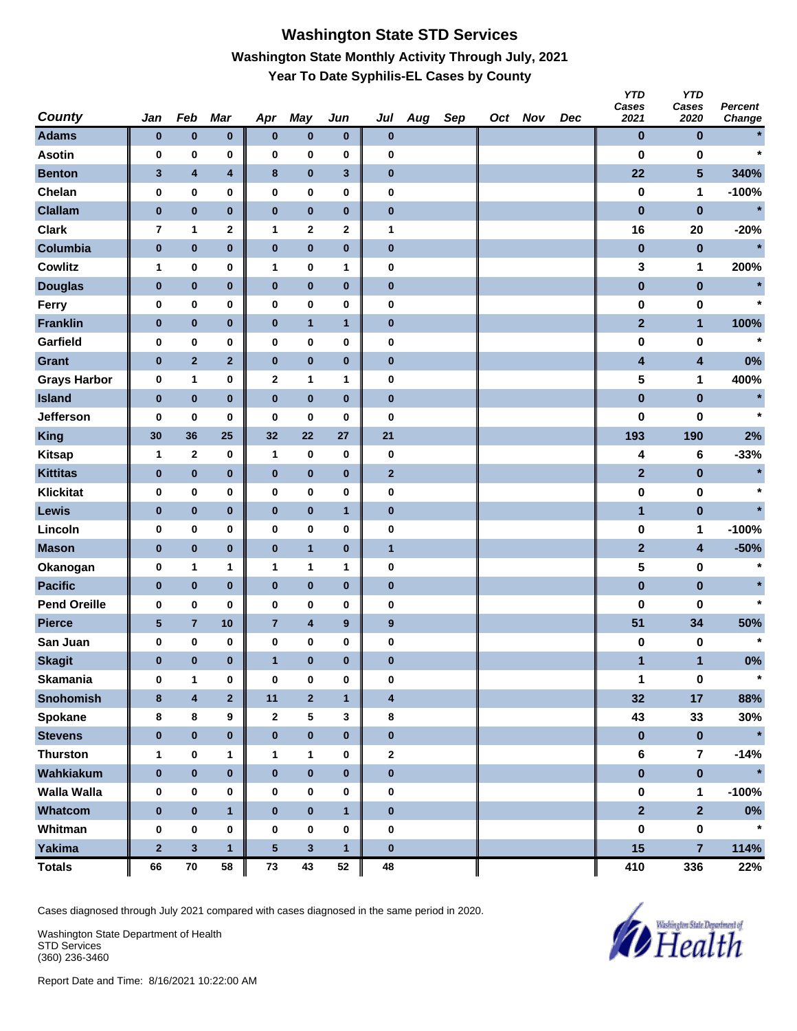# **Washington State STD Services Washington State Monthly Activity Through July, 2021 Year To Date Syphilis-EL Cases by County**

| <b>County</b>       | Jan          | Feb                     | Mar                     | Apr              | <b>May</b>       | Jun              | Jul                     | Aug | Sep | Oct Nov | Dec | <b>YTD</b><br>Cases<br>2021 | <b>YTD</b><br>Cases<br>2020 | <b>Percent</b><br>Change |
|---------------------|--------------|-------------------------|-------------------------|------------------|------------------|------------------|-------------------------|-----|-----|---------|-----|-----------------------------|-----------------------------|--------------------------|
| <b>Adams</b>        | $\bf{0}$     | $\pmb{0}$               | $\pmb{0}$               | $\pmb{0}$        | $\pmb{0}$        | $\bf{0}$         | $\bf{0}$                |     |     |         |     | $\bf{0}$                    | $\bf{0}$                    |                          |
| <b>Asotin</b>       | 0            | 0                       | 0                       | 0                | $\bf{0}$         | 0                | 0                       |     |     |         |     | 0                           | 0                           | $\star$                  |
| <b>Benton</b>       | $\mathbf{3}$ | $\overline{\mathbf{4}}$ | 4                       | 8                | $\pmb{0}$        | $\mathbf{3}$     | $\pmb{0}$               |     |     |         |     | 22                          | 5                           | 340%                     |
| Chelan              | 0            | 0                       | 0                       | 0                | $\pmb{0}$        | 0                | 0                       |     |     |         |     | $\bf{0}$                    | 1                           | $-100%$                  |
| <b>Clallam</b>      | $\bf{0}$     | $\pmb{0}$               | $\bf{0}$                | $\pmb{0}$        | $\pmb{0}$        | $\pmb{0}$        | $\pmb{0}$               |     |     |         |     | $\pmb{0}$                   | $\bf{0}$                    | $\star$                  |
| <b>Clark</b>        | 7            | 1                       | 2                       | 1                | $\boldsymbol{2}$ | 2                | 1                       |     |     |         |     | 16                          | 20                          | $-20%$                   |
| Columbia            | $\pmb{0}$    | $\pmb{0}$               | $\bf{0}$                | $\pmb{0}$        | $\pmb{0}$        | $\pmb{0}$        | $\pmb{0}$               |     |     |         |     | $\bf{0}$                    | $\bf{0}$                    | $\star$                  |
| <b>Cowlitz</b>      | 1            | 0                       | 0                       | $\mathbf{1}$     | 0                | 1                | 0                       |     |     |         |     | 3                           | 1                           | 200%                     |
| <b>Douglas</b>      | $\bf{0}$     | $\pmb{0}$               | $\bf{0}$                | $\bf{0}$         | $\bf{0}$         | $\pmb{0}$        | $\pmb{0}$               |     |     |         |     | $\pmb{0}$                   | $\pmb{0}$                   |                          |
| Ferry               | 0            | 0                       | 0                       | 0                | $\bf{0}$         | 0                | 0                       |     |     |         |     | $\bf{0}$                    | 0                           | $\star$                  |
| <b>Franklin</b>     | $\pmb{0}$    | $\pmb{0}$               | $\bf{0}$                | $\pmb{0}$        | $\mathbf{1}$     | $\mathbf{1}$     | $\pmb{0}$               |     |     |         |     | $\overline{2}$              | $\mathbf{1}$                | 100%                     |
| Garfield            | 0            | 0                       | 0                       | 0                | $\pmb{0}$        | 0                | 0                       |     |     |         |     | 0                           | 0                           | $\star$                  |
| <b>Grant</b>        | $\pmb{0}$    | $\mathbf 2$             | $\overline{2}$          | $\pmb{0}$        | $\pmb{0}$        | $\pmb{0}$        | $\pmb{0}$               |     |     |         |     | 4                           | $\overline{\mathbf{4}}$     | 0%                       |
| <b>Grays Harbor</b> | 0            | 1                       | 0                       | $\boldsymbol{2}$ | $\mathbf{1}$     | 1                | 0                       |     |     |         |     | 5                           | 1                           | 400%                     |
| <b>Island</b>       | $\pmb{0}$    | $\pmb{0}$               | $\bf{0}$                | $\pmb{0}$        | $\bf{0}$         | $\pmb{0}$        | $\pmb{0}$               |     |     |         |     | $\pmb{0}$                   | $\pmb{0}$                   | $\star$                  |
| Jefferson           | 0            | 0                       | 0                       | 0                | 0                | 0                | 0                       |     |     |         |     | 0                           | 0                           | $\star$                  |
| <b>King</b>         | 30           | 36                      | 25                      | 32               | 22               | 27               | 21                      |     |     |         |     | 193                         | 190                         | 2%                       |
| <b>Kitsap</b>       | 1            | $\mathbf 2$             | 0                       | $\mathbf{1}$     | 0                | 0                | $\bf{0}$                |     |     |         |     | 4                           | 6                           | $-33%$                   |
| <b>Kittitas</b>     | $\bf{0}$     | $\pmb{0}$               | $\bf{0}$                | $\bf{0}$         | $\bf{0}$         | $\pmb{0}$        | $\mathbf{2}$            |     |     |         |     | $\mathbf{2}$                | $\pmb{0}$                   | $\star$                  |
| <b>Klickitat</b>    | 0            | 0                       | 0                       | 0                | $\bf{0}$         | 0                | 0                       |     |     |         |     | $\pmb{0}$                   | 0                           | $\star$                  |
| <b>Lewis</b>        | $\bf{0}$     | $\pmb{0}$               | $\pmb{0}$               | $\pmb{0}$        | $\pmb{0}$        | $\mathbf{1}$     | $\pmb{0}$               |     |     |         |     | $\mathbf{1}$                | $\pmb{0}$                   |                          |
| Lincoln             | 0            | 0                       | 0                       | 0                | $\pmb{0}$        | 0                | 0                       |     |     |         |     | 0                           | 1                           | $-100%$                  |
| <b>Mason</b>        | $\pmb{0}$    | $\pmb{0}$               | $\bf{0}$                | $\pmb{0}$        | $\overline{1}$   | $\pmb{0}$        | $\mathbf{1}$            |     |     |         |     | $\mathbf{2}$                | $\overline{\mathbf{4}}$     | $-50%$                   |
| Okanogan            | 0            | 1                       | 1                       | 1                | 1                | 1                | $\pmb{0}$               |     |     |         |     | 5                           | 0                           | $\star$                  |
| <b>Pacific</b>      | $\pmb{0}$    | $\pmb{0}$               | $\bf{0}$                | $\pmb{0}$        | $\bf{0}$         | $\pmb{0}$        | $\pmb{0}$               |     |     |         |     | $\pmb{0}$                   | $\pmb{0}$                   |                          |
| <b>Pend Oreille</b> | 0            | 0                       | 0                       | 0                | 0                | 0                | 0                       |     |     |         |     | $\bf{0}$                    | 0                           | $\star$                  |
| <b>Pierce</b>       | $\sqrt{5}$   | $\overline{7}$          | 10                      | $\overline{7}$   | $\pmb{4}$        | $\boldsymbol{9}$ | $\boldsymbol{9}$        |     |     |         |     | 51                          | 34                          | 50%                      |
| San Juan            | 0            | 0                       | 0                       | 0                | $\pmb{0}$        | 0                | 0                       |     |     |         |     | 0                           | 0                           | $\star$                  |
| <b>Skagit</b>       | $\bf{0}$     | $\pmb{0}$               | $\bf{0}$                | $\mathbf{1}$     | $\pmb{0}$        | $\bf{0}$         | $\bf{0}$                |     |     |         |     | 1                           | $\mathbf{1}$                | 0%                       |
| <b>Skamania</b>     | $\bf{0}$     | $\mathbf{1}$            | 0                       | $\bf{0}$         | $\bf{0}$         | 0                | 0                       |     |     |         |     | 1                           | $\pmb{0}$                   | $\star$                  |
| <b>Snohomish</b>    | $\bf8$       | $\overline{\mathbf{4}}$ | $\overline{\mathbf{2}}$ | 11               | $\mathbf 2$      | $\mathbf{1}$     | $\overline{\mathbf{4}}$ |     |     |         |     | 32                          | 17                          | 88%                      |
| Spokane             | 8            | 8                       | 9                       | $\mathbf{2}$     | ${\bf 5}$        | 3                | 8                       |     |     |         |     | 43                          | 33                          | 30%                      |
| <b>Stevens</b>      | $\bf{0}$     | $\pmb{0}$               | $\pmb{0}$               | $\bf{0}$         | $\pmb{0}$        | $\bf{0}$         | $\pmb{0}$               |     |     |         |     | $\pmb{0}$                   | $\pmb{0}$                   | $\star$                  |
| <b>Thurston</b>     | $\mathbf{1}$ | $\pmb{0}$               | 1                       | $\mathbf{1}$     | $\mathbf{1}$     | 0                | $\mathbf 2$             |     |     |         |     | $\bf 6$                     | $\overline{7}$              | $-14%$                   |
| Wahkiakum           | $\pmb{0}$    | $\pmb{0}$               | $\mathbf 0$             | $\pmb{0}$        | $\pmb{0}$        | $\pmb{0}$        | $\pmb{0}$               |     |     |         |     | $\pmb{0}$                   | $\mathbf 0$                 | $\star$                  |
| Walla Walla         | 0            | 0                       | 0                       | 0                | 0                | 0                | 0                       |     |     |         |     | $\pmb{0}$                   | $\mathbf{1}$                | $-100%$                  |
| Whatcom             | $\pmb{0}$    | $\pmb{0}$               | $\mathbf{1}$            | $\bf{0}$         | $\pmb{0}$        | $\mathbf{1}$     | $\bf{0}$                |     |     |         |     | $\overline{2}$              | 2 <sup>1</sup>              | $0\%$                    |
| Whitman             | $\pmb{0}$    | $\pmb{0}$               | 0                       | $\bf{0}$         | $\pmb{0}$        | 0                | $\bf{0}$                |     |     |         |     | $\pmb{0}$                   | $\pmb{0}$                   | $\star$                  |
| Yakima              | $\mathbf 2$  | $\mathbf{3}$            | $\mathbf{1}$            | 5                | $\mathbf{3}$     | $\mathbf{1}$     | $\pmb{0}$               |     |     |         |     | 15                          | $\overline{7}$              | 114%                     |
| <b>Totals</b>       | 66           | ${\bf 70}$              | 58                      | ${\bf 73}$       | 43               | $52\,$           | 48                      |     |     |         |     | 410                         | 336                         | 22%                      |

Cases diagnosed through July 2021 compared with cases diagnosed in the same period in 2020.

Washington State Department of Health STD Services (360) 236-3460

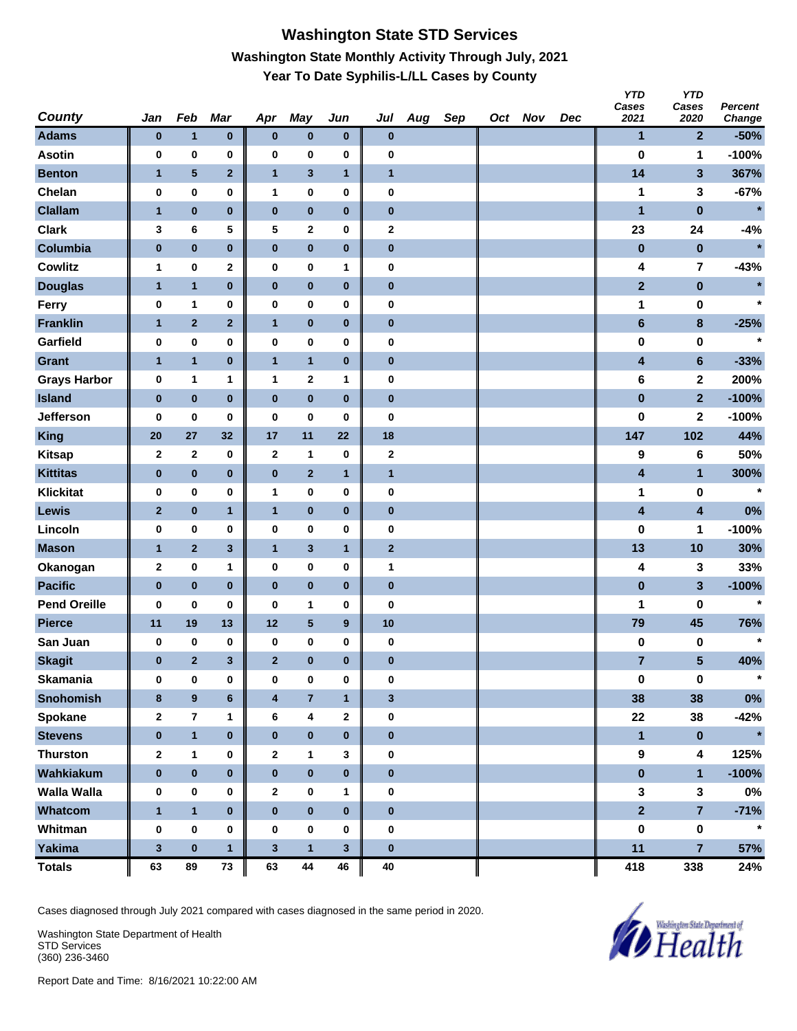## **Washington State STD Services Washington State Monthly Activity Through July, 2021 Year To Date Syphilis-L/LL Cases by County**

| <b>County</b>       | Jan          | Feb                     | Mar          | Apr            | May                     | Jun          | Jul          | Aug | Sep | Oct Nov | Dec | <b>YTD</b><br>Cases<br>2021 | <b>YTD</b><br>Cases<br>2020 | <b>Percent</b><br>Change |
|---------------------|--------------|-------------------------|--------------|----------------|-------------------------|--------------|--------------|-----|-----|---------|-----|-----------------------------|-----------------------------|--------------------------|
| <b>Adams</b>        | $\bf{0}$     | $\mathbf{1}$            | $\pmb{0}$    | $\pmb{0}$      | $\pmb{0}$               | $\bf{0}$     | $\pmb{0}$    |     |     |         |     | $\mathbf{1}$                | $\overline{2}$              | $-50%$                   |
| <b>Asotin</b>       | 0            | 0                       | 0            | 0              | 0                       | 0            | 0            |     |     |         |     | $\bf{0}$                    | 1                           | $-100%$                  |
| <b>Benton</b>       | $\mathbf{1}$ | $\overline{\mathbf{5}}$ | $\mathbf 2$  | $\mathbf{1}$   | $\overline{\mathbf{3}}$ | $\mathbf{1}$ | $\mathbf{1}$ |     |     |         |     | 14                          | $\mathbf{3}$                | 367%                     |
| Chelan              | 0            | $\pmb{0}$               | 0            | $\mathbf{1}$   | 0                       | 0            | $\pmb{0}$    |     |     |         |     | 1                           | 3                           | $-67%$                   |
| <b>Clallam</b>      | $\mathbf{1}$ | $\pmb{0}$               | $\bf{0}$     | $\pmb{0}$      | $\pmb{0}$               | $\pmb{0}$    | $\pmb{0}$    |     |     |         |     | 1                           | $\pmb{0}$                   | $\star$                  |
| <b>Clark</b>        | 3            | 6                       | 5            | 5              | $\mathbf 2$             | 0            | $\bf{2}$     |     |     |         |     | 23                          | 24                          | $-4%$                    |
| Columbia            | $\pmb{0}$    | $\pmb{0}$               | $\bf{0}$     | $\pmb{0}$      | $\pmb{0}$               | $\pmb{0}$    | $\pmb{0}$    |     |     |         |     | $\bf{0}$                    | $\bf{0}$                    | $\star$                  |
| <b>Cowlitz</b>      | $\mathbf 1$  | 0                       | 2            | 0              | 0                       | 1            | $\pmb{0}$    |     |     |         |     | 4                           | $\overline{\mathbf{7}}$     | $-43%$                   |
| <b>Douglas</b>      | $\mathbf{1}$ | $\mathbf{1}$            | $\pmb{0}$    | $\bf{0}$       | $\pmb{0}$               | $\pmb{0}$    | $\bf{0}$     |     |     |         |     | $\mathbf{2}$                | $\bf{0}$                    | $\star$                  |
| Ferry               | 0            | 1                       | 0            | $\pmb{0}$      | 0                       | 0            | $\pmb{0}$    |     |     |         |     | 1                           | 0                           | $\star$                  |
| <b>Franklin</b>     | $\mathbf{1}$ | $\mathbf{2}$            | $\mathbf 2$  | $\mathbf{1}$   | $\pmb{0}$               | $\pmb{0}$    | $\bf{0}$     |     |     |         |     | $6\phantom{1}$              | 8                           | $-25%$                   |
| Garfield            | 0            | 0                       | 0            | 0              | 0                       | 0            | 0            |     |     |         |     | 0                           | 0                           | $\star$                  |
| <b>Grant</b>        | $\mathbf{1}$ | $\mathbf{1}$            | $\pmb{0}$    | $\mathbf{1}$   | $\mathbf{1}$            | $\pmb{0}$    | $\pmb{0}$    |     |     |         |     | 4                           | $6\phantom{1}$              | $-33%$                   |
| <b>Grays Harbor</b> | 0            | 1                       | 1            | $\mathbf{1}$   | $\mathbf 2$             | 1            | $\pmb{0}$    |     |     |         |     | 6                           | $\mathbf{2}$                | 200%                     |
| <b>Island</b>       | $\pmb{0}$    | $\pmb{0}$               | $\bf{0}$     | $\bf{0}$       | $\pmb{0}$               | $\pmb{0}$    | $\pmb{0}$    |     |     |         |     | $\pmb{0}$                   | $\overline{2}$              | $-100%$                  |
| Jefferson           | 0            | $\pmb{0}$               | $\bf{0}$     | 0              | $\bf{0}$                | $\bf{0}$     | $\pmb{0}$    |     |     |         |     | 0                           | $\mathbf 2$                 | $-100%$                  |
| <b>King</b>         | 20           | 27                      | 32           | 17             | 11                      | 22           | 18           |     |     |         |     | 147                         | 102                         | 44%                      |
| <b>Kitsap</b>       | $\mathbf{2}$ | $\mathbf{2}$            | 0            | $\mathbf{2}$   | 1                       | 0            | $\mathbf 2$  |     |     |         |     | 9                           | 6                           | 50%                      |
| <b>Kittitas</b>     | $\pmb{0}$    | $\pmb{0}$               | $\pmb{0}$    | $\bf{0}$       | $\mathbf{2}$            | $\mathbf{1}$ | $\mathbf{1}$ |     |     |         |     | 4                           | $\mathbf{1}$                | 300%                     |
| <b>Klickitat</b>    | 0            | $\pmb{0}$               | 0            | $\mathbf{1}$   | 0                       | 0            | $\pmb{0}$    |     |     |         |     | 1                           | 0                           | $\star$                  |
| Lewis               | $\mathbf{2}$ | $\pmb{0}$               | $\mathbf{1}$ | $\mathbf{1}$   | $\pmb{0}$               | $\pmb{0}$    | $\bf{0}$     |     |     |         |     | 4                           | $\overline{\mathbf{4}}$     | 0%                       |
| Lincoln             | 0            | 0                       | 0            | 0              | 0                       | 0            | 0            |     |     |         |     | $\bf{0}$                    | 1                           | $-100%$                  |
| <b>Mason</b>        | $\mathbf{1}$ | $\overline{2}$          | $\mathbf 3$  | $\mathbf{1}$   | $\mathbf 3$             | $\mathbf{1}$ | $\mathbf 2$  |     |     |         |     | 13                          | 10                          | 30%                      |
| Okanogan            | $\mathbf 2$  | $\pmb{0}$               | 1            | 0              | 0                       | $\bf{0}$     | 1            |     |     |         |     | 4                           | 3                           | 33%                      |
| <b>Pacific</b>      | $\pmb{0}$    | $\pmb{0}$               | $\bf{0}$     | $\bf{0}$       | $\pmb{0}$               | $\pmb{0}$    | $\bf{0}$     |     |     |         |     | $\pmb{0}$                   | 3                           | $-100%$                  |
| <b>Pend Oreille</b> | $\bf{0}$     | $\pmb{0}$               | $\bf{0}$     | $\bf{0}$       | 1                       | 0            | 0            |     |     |         |     | 1                           | 0                           | $\star$                  |
| <b>Pierce</b>       | 11           | 19                      | 13           | 12             | $\overline{\mathbf{5}}$ | 9            | 10           |     |     |         |     | 79                          | 45                          | 76%                      |
| San Juan            | 0            | 0                       | 0            | 0              | 0                       | 0            | $\pmb{0}$    |     |     |         |     | $\pmb{0}$                   | 0                           |                          |
| <b>Skagit</b>       | $\bf{0}$     | $\overline{2}$          | 3            | $\overline{2}$ | $\bf{0}$                | $\bf{0}$     | $\bf{0}$     |     |     |         |     | $\overline{7}$              | 5                           | 40%                      |
| <b>Skamania</b>     | 0            | 0                       | 0            | $\bf{0}$       | 0                       | 0            | $\bf{0}$     |     |     |         |     | $\pmb{0}$                   | $\mathbf 0$                 | $\star$                  |
| <b>Snohomish</b>    | 8            | $\boldsymbol{9}$        | $\bf 6$      | 4              | $\overline{7}$          | $\mathbf{1}$ | $\mathbf{3}$ |     |     |         |     | 38                          | 38                          | $0\%$                    |
| Spokane             | 2            | $\bf 7$                 | 1            | 6              | 4                       | 2            | $\pmb{0}$    |     |     |         |     | 22                          | 38                          | $-42%$                   |
| <b>Stevens</b>      | $\pmb{0}$    | $\mathbf{1}$            | $\pmb{0}$    | $\pmb{0}$      | $\pmb{0}$               | $\pmb{0}$    | $\pmb{0}$    |     |     |         |     | $\mathbf{1}$                | $\pmb{0}$                   | $\star$                  |
| <b>Thurston</b>     | $\mathbf{2}$ | 1                       | 0            | $\mathbf{2}$   | 1                       | 3            | $\pmb{0}$    |     |     |         |     | $\boldsymbol{9}$            | $\overline{\mathbf{4}}$     | 125%                     |
| Wahkiakum           | $\bf{0}$     | $\pmb{0}$               | $\bf{0}$     | $\bf{0}$       | $\pmb{0}$               | $\bf{0}$     | $\pmb{0}$    |     |     |         |     | $\pmb{0}$                   | $\mathbf{1}$                | $-100%$                  |
| <b>Walla Walla</b>  | $\bf{0}$     | 0                       | 0            | $\mathbf{2}$   | 0                       | 1            | 0            |     |     |         |     | $\mathbf 3$                 | $\mathbf{3}$                | $0\%$                    |
| Whatcom             | $\mathbf{1}$ | $\overline{1}$          | $\bf{0}$     | $\pmb{0}$      | $\pmb{0}$               | $\pmb{0}$    | $\pmb{0}$    |     |     |         |     | $\overline{2}$              | $\overline{7}$              | $-71%$                   |
| Whitman             | $\bf{0}$     | 0                       | 0            | 0              | 0                       | 0            | $\pmb{0}$    |     |     |         |     | 0                           | $\pmb{0}$                   | $\star$                  |
| <b>Yakima</b>       | $\mathbf{3}$ | $\mathbf 0$             | $\mathbf{1}$ | $\mathbf{3}$   | $\mathbf{1}$            | 3            | $\bf{0}$     |     |     |         |     | 11                          | $\overline{7}$              | 57%                      |
| <b>Totals</b>       | 63           | 89                      | 73           | 63             | 44                      | 46           | 40           |     |     |         |     | 418                         | 338                         | 24%                      |

Cases diagnosed through July 2021 compared with cases diagnosed in the same period in 2020.

Washington State Department of Health STD Services (360) 236-3460